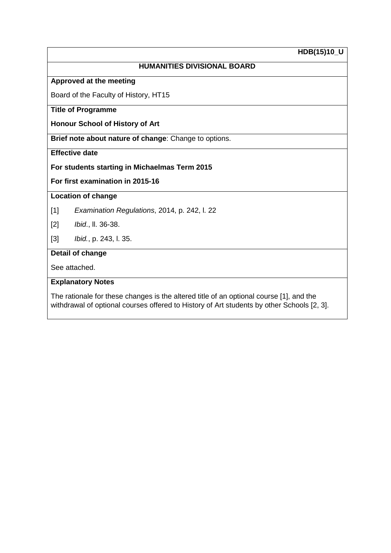| HDB(15)10_U |  |  |
|-------------|--|--|
|-------------|--|--|

## **HUMANITIES DIVISIONAL BOARD**

**Approved at the meeting** 

Board of the Faculty of History, HT15

**Title of Programme**

**Honour School of History of Art**

**Brief note about nature of change**: Change to options.

**Effective date**

**For students starting in Michaelmas Term 2015**

**For first examination in 2015-16**

## **Location of change**

[1] *Examination Regulations*, 2014, p. 242, l. 22

[2] *Ibid*., ll. 36-38.

[3] *Ibid.*, p. 243, l. 35.

# **Detail of change**

See attached.

## **Explanatory Notes**

The rationale for these changes is the altered title of an optional course [1], and the withdrawal of optional courses offered to History of Art students by other Schools [2, 3].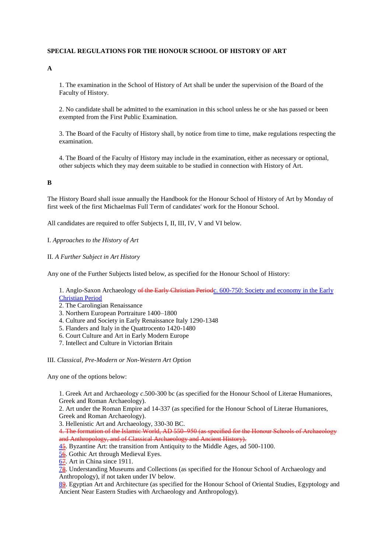### **SPECIAL REGULATIONS FOR THE HONOUR SCHOOL OF HISTORY OF ART**

**A**

1. The examination in the School of History of Art shall be under the supervision of the Board of the Faculty of History.

2. No candidate shall be admitted to the examination in this school unless he or she has passed or been exempted from the First Public Examination.

3. The Board of the Faculty of History shall, by notice from time to time, make regulations respecting the examination.

4. The Board of the Faculty of History may include in the examination, either as necessary or optional, other subjects which they may deem suitable to be studied in connection with History of Art.

### **B**

The History Board shall issue annually the Handbook for the Honour School of History of Art by Monday of first week of the first Michaelmas Full Term of candidates' work for the Honour School.

All candidates are required to offer Subjects I, II, III, IV, V and VI below.

I. *Approaches to the History of Art* 

II. *A Further Subject in Art History*

Any one of the Further Subjects listed below, as specified for the Honour School of History:

1. Anglo-Saxon Archaeology of the Early Christian Periodc. 600-750: Society and economy in the Early Christian Period

2. The Carolingian Renaissance

3. Northern European Portraiture 1400–1800

- 4. Culture and Society in Early Renaissance Italy 1290-1348
- 5. Flanders and Italy in the Quattrocento 1420-1480
- 6. Court Culture and Art in Early Modern Europe
- 7. Intellect and Culture in Victorian Britain

III. *Classical, Pre-Modern or Non-Western Art Option*

Any one of the options below:

1. Greek Art and Archaeology *c*.500-300 bc (as specified for the Honour School of Literae Humaniores, Greek and Roman Archaeology).

2. Art under the Roman Empire ad 14-337 (as specified for the Honour School of Literae Humaniores, Greek and Roman Archaeology).

3. Hellenistic Art and Archaeology, 330-30 BC.

4. The formation of the Islamic World, AD 550–950 (as specified for the Honour Schools of Archaeology and Anthropology, and of Classical Archaeology and Ancient History).

45. Byzantine Art: the transition from Antiquity to the Middle Ages, ad 500-1100.

- 56. Gothic Art through Medieval Eyes.
- 67. Art in China since 1911.

78. Understanding Museums and Collections (as specified for the Honour School of Archaeology and Anthropology), if not taken under IV below.

89. Egyptian Art and Architecture (as specified for the Honour School of Oriental Studies, Egyptology and Ancient Near Eastern Studies with Archaeology and Anthropology).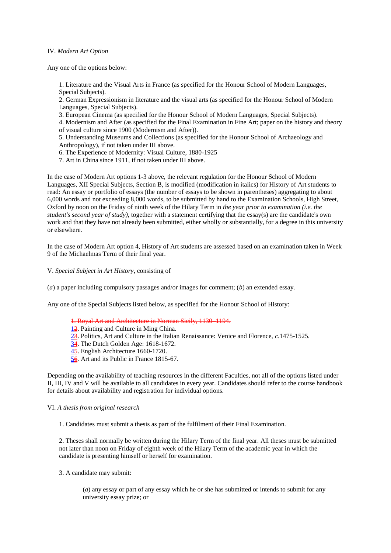#### IV. *Modern Art Option*

Any one of the options below:

1. Literature and the Visual Arts in France (as specified for the Honour School of Modern Languages, Special Subjects).

2. German Expressionism in literature and the visual arts (as specified for the Honour School of Modern Languages, Special Subjects).

3. European Cinema (as specified for the Honour School of Modern Languages, Special Subjects).

4. Modernism and After (as specified for the Final Examination in Fine Art; paper on the history and theory of visual culture since 1900 (Modernism and After)).

5. Understanding Museums and Collections (as specified for the Honour School of Archaeology and Anthropology), if not taken under III above.

6. The Experience of Modernity: Visual Culture, 1880-1925

7. Art in China since 1911, if not taken under III above.

In the case of Modern Art options 1-3 above, the relevant regulation for the Honour School of Modern Languages, XII Special Subjects, Section B, is modified (modification in italics) for History of Art students to read: An essay or portfolio of essays (the number of essays to be shown in parentheses) aggregating to about 6,000 words and not exceeding 8,000 words, to be submitted by hand to the Examination Schools, High Street, Oxford by noon on the Friday of ninth week of the Hilary Term in *the year prior to examination (i.e. the student's second year of study)*, together with a statement certifying that the essay(s) are the candidate's own work and that they have not already been submitted, either wholly or substantially, for a degree in this university or elsewhere.

In the case of Modern Art option 4, History of Art students are assessed based on an examination taken in Week 9 of the Michaelmas Term of their final year.

### V. *Special Subject in Art History*, consisting of

(*a*) a paper including compulsory passages and/or images for comment; (*b*) an extended essay.

Any one of the Special Subjects listed below, as specified for the Honour School of History:

- 1. Royal Art and Architecture in Norman Sicily, 1130–1194.
- 12. Painting and Culture in Ming China.
- 23. Politics, Art and Culture in the Italian Renaissance: Venice and Florence, *c*.1475-1525.
- 34. The Dutch Golden Age: 1618-1672.
- 45. English Architecture 1660-1720.
- 56. Art and its Public in France 1815-67.

Depending on the availability of teaching resources in the different Faculties, not all of the options listed under II, III, IV and V will be available to all candidates in every year. Candidates should refer to the course handbook for details about availability and registration for individual options.

#### VI. *A thesis from original research*

1. Candidates must submit a thesis as part of the fulfilment of their Final Examination.

2. Theses shall normally be written during the Hilary Term of the final year. All theses must be submitted not later than noon on Friday of eighth week of the Hilary Term of the academic year in which the candidate is presenting himself or herself for examination.

3. A candidate may submit:

(*a*) any essay or part of any essay which he or she has submitted or intends to submit for any university essay prize; or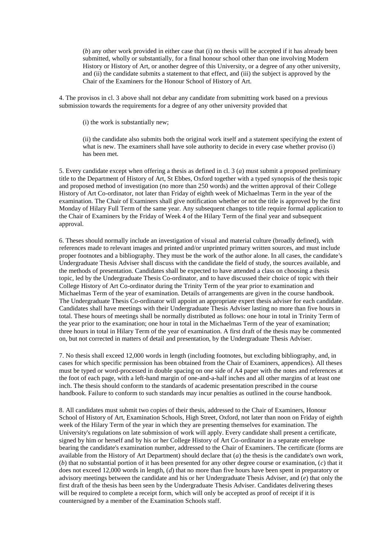(*b*) any other work provided in either case that (i) no thesis will be accepted if it has already been submitted, wholly or substantially, for a final honour school other than one involving Modern History or History of Art, or another degree of this University, or a degree of any other university, and (ii) the candidate submits a statement to that effect, and (iii) the subject is approved by the Chair of the Examiners for the Honour School of History of Art.

4. The provisos in cl. 3 above shall not debar any candidate from submitting work based on a previous submission towards the requirements for a degree of any other university provided that

(i) the work is substantially new;

(ii) the candidate also submits both the original work itself and a statement specifying the extent of what is new. The examiners shall have sole authority to decide in every case whether proviso (i) has been met.

5. Every candidate except when offering a thesis as defined in cl. 3 (*a*) must submit a proposed preliminary title to the Department of History of Art, St Ebbes, Oxford together with a typed synopsis of the thesis topic and proposed method of investigation (no more than 250 words) and the written approval of their College History of Art Co-ordinator, not later than Friday of eighth week of Michaelmas Term in the year of the examination. The Chair of Examiners shall give notification whether or not the title is approved by the first Monday of Hilary Full Term of the same year. Any subsequent changes to title require formal application to the Chair of Examiners by the Friday of Week 4 of the Hilary Term of the final year and subsequent approval.

6. Theses should normally include an investigation of visual and material culture (broadly defined), with references made to relevant images and printed and/or unprinted primary written sources, and must include proper footnotes and a bibliography. They must be the work of the author alone. In all cases, the candidate's Undergraduate Thesis Adviser shall discuss with the candidate the field of study, the sources available, and the methods of presentation. Candidates shall be expected to have attended a class on choosing a thesis topic, led by the Undergraduate Thesis Co-ordinator, and to have discussed their choice of topic with their College History of Art Co-ordinator during the Trinity Term of the year prior to examination and Michaelmas Term of the year of examination. Details of arrangements are given in the course handbook. The Undergraduate Thesis Co-ordinator will appoint an appropriate expert thesis adviser for each candidate. Candidates shall have meetings with their Undergraduate Thesis Adviser lasting no more than five hours in total. These hours of meetings shall be normally distributed as follows: one hour in total in Trinity Term of the year prior to the examination; one hour in total in the Michaelmas Term of the year of examination; three hours in total in Hilary Term of the year of examination. A first draft of the thesis may be commented on, but not corrected in matters of detail and presentation, by the Undergraduate Thesis Adviser.

7. No thesis shall exceed 12,000 words in length (including footnotes, but excluding bibliography, and, in cases for which specific permission has been obtained from the Chair of Examiners, appendices). All theses must be typed or word-processed in double spacing on one side of A4 paper with the notes and references at the foot of each page, with a left-hand margin of one-and-a-half inches and all other margins of at least one inch. The thesis should conform to the standards of academic presentation prescribed in the course handbook. Failure to conform to such standards may incur penalties as outlined in the course handbook.

8. All candidates must submit two copies of their thesis, addressed to the Chair of Examiners, Honour School of History of Art, Examination Schools, High Street, Oxford, not later than noon on Friday of eighth week of the Hilary Term of the year in which they are presenting themselves for examination. The University's regulations on late submission of work will apply. Every candidate shall present a certificate, signed by him or herself and by his or her College History of Art Co-ordinator in a separate envelope bearing the candidate's examination number, addressed to the Chair of Examiners. The certificate (forms are available from the History of Art Department) should declare that (*a*) the thesis is the candidate's own work, (*b*) that no substantial portion of it has been presented for any other degree course or examination, (*c*) that it does not exceed 12,000 words in length, (*d*) that no more than five hours have been spent in preparatory or advisory meetings between the candidate and his or her Undergraduate Thesis Adviser, and (*e*) that only the first draft of the thesis has been seen by the Undergraduate Thesis Adviser. Candidates delivering theses will be required to complete a receipt form, which will only be accepted as proof of receipt if it is countersigned by a member of the Examination Schools staff.